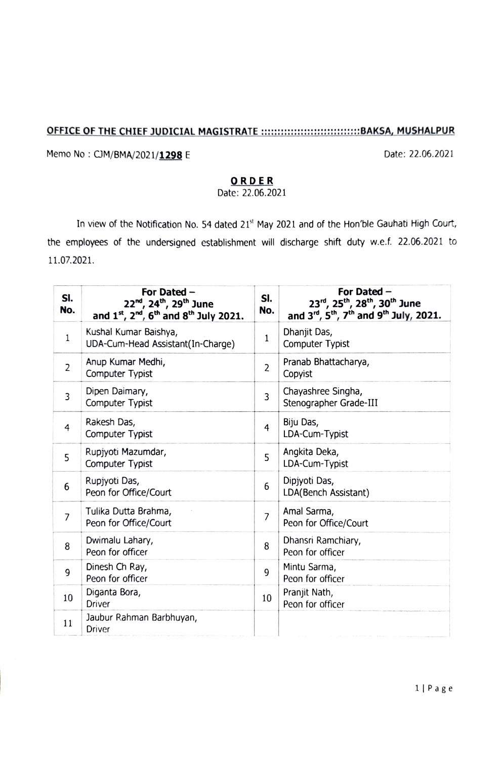## OFFICE OF THE CHIEF JUDICIAL MAGISTRATE ::::::::::::::::::::::::::::::::BAKSA, MUSHALPUR

Memo No: CJM/BMA/2021/1298 E Date: 22.06.2021

## ORDER

Date: 22.06.2021

In view of the Notification No. 54 dated 21<sup>st</sup> May 2021 and of the Hon'ble Gauhati High Court, the employees of the undersigned establishment will discharge shift duty w.e.f. 22.06.2021 to 11.07.2021.

| SI.<br>No.     | For Dated -<br>22 <sup>nd</sup> , 24 <sup>th</sup> , 29 <sup>th</sup> June<br>and $1^{st}$ , $2^{nd}$ , $6^{th}$ and $8^{th}$ July 2021. | SI.<br>No.     | For Dated -<br>23rd, 25 <sup>th</sup> , 28 <sup>th</sup> , 30 <sup>th</sup> June<br>and $3^{rd}$ , $5^{th}$ , $7^{th}$ and $9^{th}$ July, 2021. |
|----------------|------------------------------------------------------------------------------------------------------------------------------------------|----------------|-------------------------------------------------------------------------------------------------------------------------------------------------|
| $\mathbf{1}$   | Kushal Kumar Baishya,<br>UDA-Cum-Head Assistant(In-Charge)                                                                               | 1              | Dhanjit Das,<br><b>Computer Typist</b>                                                                                                          |
| $\overline{2}$ | Anup Kumar Medhi,<br>Computer Typist                                                                                                     | $\overline{2}$ | Pranab Bhattacharya,<br>Copyist                                                                                                                 |
| 3              | Dipen Daimary,<br>Computer Typist                                                                                                        | 3              | Chayashree Singha,<br>Stenographer Grade-III                                                                                                    |
| 4              | Rakesh Das,<br>Computer Typist                                                                                                           | $\overline{4}$ | Biju Das,<br>LDA-Cum-Typist                                                                                                                     |
| 5              | Rupjyoti Mazumdar,<br>Computer Typist                                                                                                    | 5              | Angkita Deka,<br>LDA-Cum-Typist                                                                                                                 |
| 6              | Rupjyoti Das,<br>Peon for Office/Court                                                                                                   | 6              | Dipjyoti Das,<br>LDA(Bench Assistant)                                                                                                           |
| $\overline{7}$ | Tulika Dutta Brahma,<br>Peon for Office/Court                                                                                            | $\overline{7}$ | Amal Sarma,<br>Peon for Office/Court                                                                                                            |
| 8              | Dwimalu Lahary,<br>Peon for officer                                                                                                      | 8              | Dhansri Ramchiary,<br>Peon for officer                                                                                                          |
| 9              | Dinesh Ch Ray,<br>Peon for officer                                                                                                       | 9              | Mintu Sarma,<br>Peon for officer                                                                                                                |
| 10             | Diganta Bora,<br>Driver                                                                                                                  | 10             | Pranjit Nath,<br>Peon for officer                                                                                                               |
| 11             | Jaubur Rahman Barbhuyan,<br>Driver                                                                                                       |                |                                                                                                                                                 |